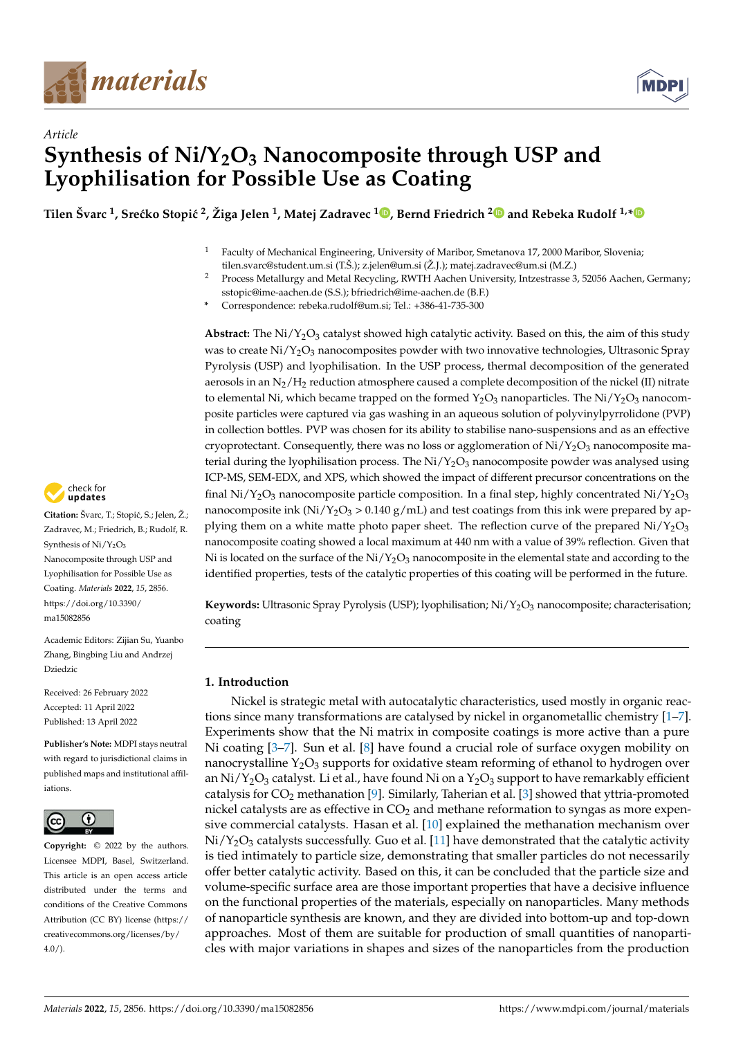



# *Article* **Synthesis of Ni/Y2O<sup>3</sup> Nanocomposite through USP and Lyophilisation for Possible Use as Coating**

 $\bf{I}$  Tilen Švarc <sup>1</sup>[,](https://orcid.org/0000-0002-8749-8715) Srećko Stopić <sup>[2](https://orcid.org/0000-0002-2934-2034)</sup>, Žiga Jelen <sup>1</sup>, Matej Zadravec <sup>1</sup> D, Bernd Friedrich <sup>2</sup> D and Rebeka Rudolf <sup>1,</sup>[\\*](https://orcid.org/0000-0003-0510-5752)

- <sup>1</sup> Faculty of Mechanical Engineering, University of Maribor, Smetanova 17, 2000 Maribor, Slovenia; tilen.svarc@student.um.si (T.Š.); z.jelen@um.si (Ž.J.); matej.zadravec@um.si (M.Z.)
- <sup>2</sup> Process Metallurgy and Metal Recycling, RWTH Aachen University, Intzestrasse 3, 52056 Aachen, Germany; sstopic@ime-aachen.de (S.S.); bfriedrich@ime-aachen.de (B.F.)
- **\*** Correspondence: rebeka.rudolf@um.si; Tel.: +386-41-735-300

Abstract: The Ni/Y<sub>2</sub>O<sub>3</sub> catalyst showed high catalytic activity. Based on this, the aim of this study was to create  $Ni/Y_2O_3$  nanocomposites powder with two innovative technologies, Ultrasonic Spray Pyrolysis (USP) and lyophilisation. In the USP process, thermal decomposition of the generated aerosols in an  $N_2/H_2$  reduction atmosphere caused a complete decomposition of the nickel (II) nitrate to elemental Ni, which became trapped on the formed  $Y_2O_3$  nanoparticles. The Ni/Y<sub>2</sub>O<sub>3</sub> nanocomposite particles were captured via gas washing in an aqueous solution of polyvinylpyrrolidone (PVP) in collection bottles. PVP was chosen for its ability to stabilise nano-suspensions and as an effective cryoprotectant. Consequently, there was no loss or agglomeration of  $Ni/Y_2O_3$  nanocomposite material during the lyophilisation process. The  $Ni/Y_2O_3$  nanocomposite powder was analysed using ICP-MS, SEM-EDX, and XPS, which showed the impact of different precursor concentrations on the final  $Ni/Y_2O_3$  nanocomposite particle composition. In a final step, highly concentrated  $Ni/Y_2O_3$ nanocomposite ink ( $Ni/Y_2O_3 > 0.140$  g/mL) and test coatings from this ink were prepared by applying them on a white matte photo paper sheet. The reflection curve of the prepared  $Ni/Y_2O_3$ nanocomposite coating showed a local maximum at 440 nm with a value of 39% reflection. Given that Ni is located on the surface of the  $Ni/Y_2O_3$  nanocomposite in the elemental state and according to the identified properties, tests of the catalytic properties of this coating will be performed in the future.

**Keywords:** Ultrasonic Spray Pyrolysis (USP); lyophilisation; Ni/Y<sub>2</sub>O<sub>3</sub> nanocomposite; characterisation; coating

# **1. Introduction**

Nickel is strategic metal with autocatalytic characteristics, used mostly in organic reactions since many transformations are catalysed by nickel in organometallic chemistry [\[1](#page-15-0)[–7\]](#page-15-1). Experiments show that the Ni matrix in composite coatings is more active than a pure Ni coating [\[3](#page-15-2)[–7\]](#page-15-1). Sun et al. [\[8\]](#page-15-3) have found a crucial role of surface oxygen mobility on nanocrystalline  $Y_2O_3$  supports for oxidative steam reforming of ethanol to hydrogen over an Ni/Y<sub>2</sub>O<sub>3</sub> catalyst. Li et al., have found Ni on a Y<sub>2</sub>O<sub>3</sub> support to have remarkably efficient catalysis for  $CO<sub>2</sub>$  methanation [\[9\]](#page-15-4). Similarly, Taherian et al. [\[3\]](#page-15-2) showed that yttria-promoted nickel catalysts are as effective in  $CO<sub>2</sub>$  and methane reformation to syngas as more expensive commercial catalysts. Hasan et al. [\[10\]](#page-15-5) explained the methanation mechanism over  $Ni/Y<sub>2</sub>O<sub>3</sub>$  catalysts successfully. Guo et al. [\[11\]](#page-15-6) have demonstrated that the catalytic activity is tied intimately to particle size, demonstrating that smaller particles do not necessarily offer better catalytic activity. Based on this, it can be concluded that the particle size and volume-specific surface area are those important properties that have a decisive influence on the functional properties of the materials, especially on nanoparticles. Many methods of nanoparticle synthesis are known, and they are divided into bottom-up and top-down approaches. Most of them are suitable for production of small quantities of nanoparticles with major variations in shapes and sizes of the nanoparticles from the production



Citation: Švarc, T.; Stopić, S.; Jelen, Ž.; Zadravec, M.; Friedrich, B.; Rudolf, R. Synthesis of  $Ni/Y_2O_3$ Nanocomposite through USP and Lyophilisation for Possible Use as Coating. *Materials* **2022**, *15*, 2856. [https://doi.org/10.3390/](https://doi.org/10.3390/ma15082856) [ma15082856](https://doi.org/10.3390/ma15082856)

Academic Editors: Zijian Su, Yuanbo Zhang, Bingbing Liu and Andrzej Dziedzic

Received: 26 February 2022 Accepted: 11 April 2022 Published: 13 April 2022

**Publisher's Note:** MDPI stays neutral with regard to jurisdictional claims in published maps and institutional affiliations.



**Copyright:** © 2022 by the authors. Licensee MDPI, Basel, Switzerland. This article is an open access article distributed under the terms and conditions of the Creative Commons Attribution (CC BY) license [\(https://](https://creativecommons.org/licenses/by/4.0/) [creativecommons.org/licenses/by/](https://creativecommons.org/licenses/by/4.0/)  $4.0/$ ).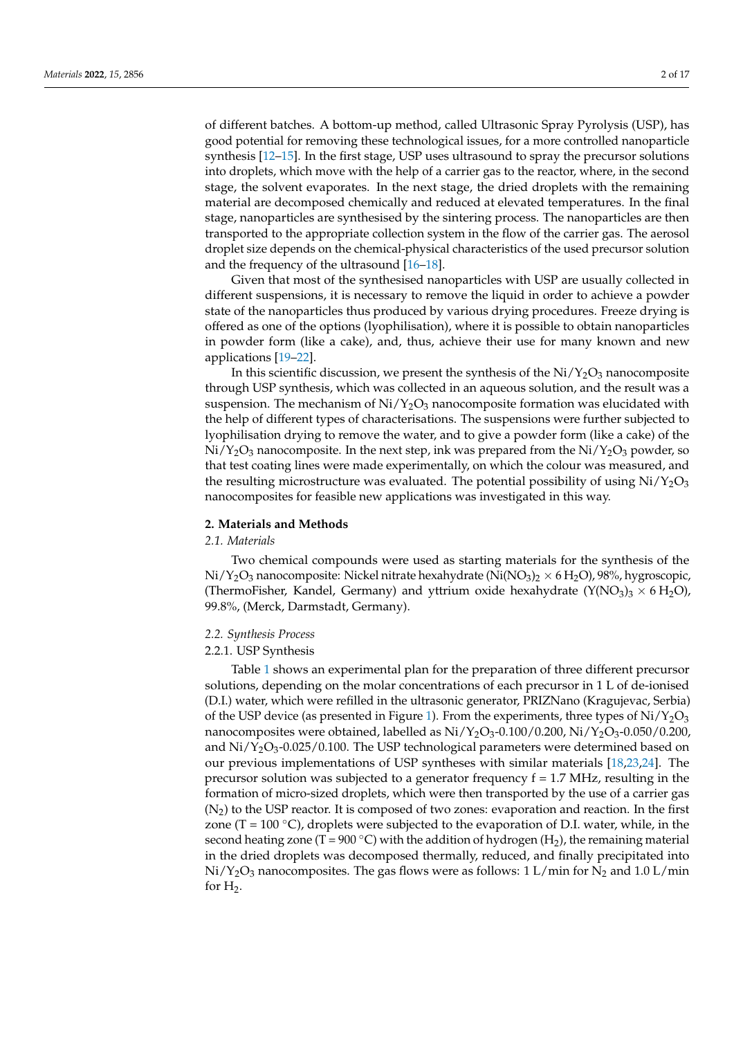of different batches. A bottom-up method, called Ultrasonic Spray Pyrolysis (USP), has good potential for removing these technological issues, for a more controlled nanoparticle synthesis [\[12](#page-15-7)[–15\]](#page-15-8). In the first stage, USP uses ultrasound to spray the precursor solutions into droplets, which move with the help of a carrier gas to the reactor, where, in the second stage, the solvent evaporates. In the next stage, the dried droplets with the remaining material are decomposed chemically and reduced at elevated temperatures. In the final stage, nanoparticles are synthesised by the sintering process. The nanoparticles are then transported to the appropriate collection system in the flow of the carrier gas. The aerosol droplet size depends on the chemical-physical characteristics of the used precursor solution and the frequency of the ultrasound [\[16](#page-15-9)[–18\]](#page-15-10).

Given that most of the synthesised nanoparticles with USP are usually collected in different suspensions, it is necessary to remove the liquid in order to achieve a powder state of the nanoparticles thus produced by various drying procedures. Freeze drying is offered as one of the options (lyophilisation), where it is possible to obtain nanoparticles in powder form (like a cake), and, thus, achieve their use for many known and new applications [\[19–](#page-15-11)[22\]](#page-15-12).

In this scientific discussion, we present the synthesis of the  $Ni/Y_2O_3$  nanocomposite through USP synthesis, which was collected in an aqueous solution, and the result was a suspension. The mechanism of  $Ni/Y<sub>2</sub>O<sub>3</sub>$  nanocomposite formation was elucidated with the help of different types of characterisations. The suspensions were further subjected to lyophilisation drying to remove the water, and to give a powder form (like a cake) of the  $Ni/Y<sub>2</sub>O<sub>3</sub>$  nanocomposite. In the next step, ink was prepared from the  $Ni/Y<sub>2</sub>O<sub>3</sub>$  powder, so that test coating lines were made experimentally, on which the colour was measured, and the resulting microstructure was evaluated. The potential possibility of using  $Ni/Y_2O_3$ nanocomposites for feasible new applications was investigated in this way.

#### **2. Materials and Methods**

#### *2.1. Materials*

Two chemical compounds were used as starting materials for the synthesis of the  $Ni/Y_2O_3$  nanocomposite: Nickel nitrate hexahydrate (Ni(NO<sub>3</sub>)<sub>2</sub> × 6 H<sub>2</sub>O), 98%, hygroscopic, (ThermoFisher, Kandel, Germany) and yttrium oxide hexahydrate ( $Y(NO<sub>3</sub>)<sub>3</sub> \times 6 H<sub>2</sub>O$ ), 99.8%, (Merck, Darmstadt, Germany).

#### *2.2. Synthesis Process*

## 2.2.1. USP Synthesis

Table [1](#page-2-0) shows an experimental plan for the preparation of three different precursor solutions, depending on the molar concentrations of each precursor in 1 L of de-ionised (D.I.) water, which were refilled in the ultrasonic generator, PRIZNano (Kragujevac, Serbia) of the USP device (as presented in Figure [1\)](#page-2-1). From the experiments, three types of  $Ni/Y_2O_3$ nanocomposites were obtained, labelled as  $Ni/Y_2O_3-0.100/0.200$ ,  $Ni/Y_2O_3-0.050/0.200$ , and  $Ni/Y_2O_3$ -0.025/0.100. The USP technological parameters were determined based on our previous implementations of USP syntheses with similar materials [\[18](#page-15-10)[,23](#page-15-13)[,24\]](#page-15-14). The precursor solution was subjected to a generator frequency  $f = 1.7$  MHz, resulting in the formation of micro-sized droplets, which were then transported by the use of a carrier gas  $(N<sub>2</sub>)$  to the USP reactor. It is composed of two zones: evaporation and reaction. In the first zone (T = 100  $\degree$ C), droplets were subjected to the evaporation of D.I. water, while, in the second heating zone (T = 900 °C) with the addition of hydrogen (H<sub>2</sub>), the remaining material in the dried droplets was decomposed thermally, reduced, and finally precipitated into  $Ni/Y_2O_3$  nanocomposites. The gas flows were as follows: 1 L/min for N<sub>2</sub> and 1.0 L/min for H<sub>2</sub>.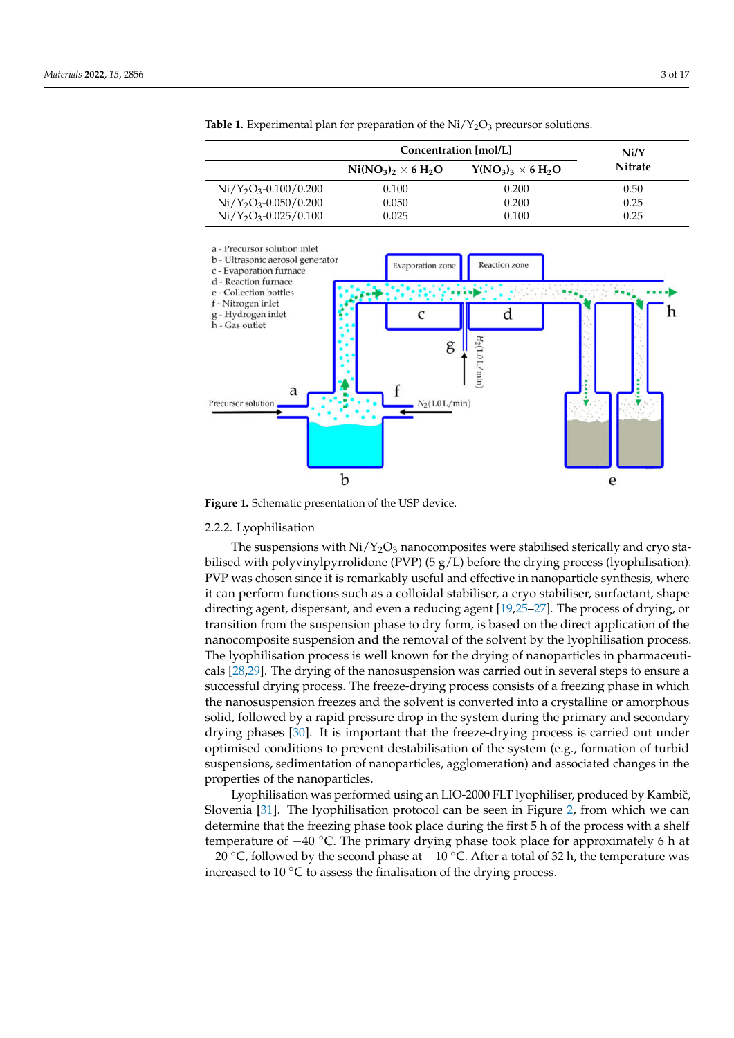|                         | Concentration [mol/L]   | Ni/Y                      |                |  |
|-------------------------|-------------------------|---------------------------|----------------|--|
|                         | $Ni(NO3)2 \times 6 H2O$ | $Y(NO_3)_3 \times 6 H_2O$ | <b>Nitrate</b> |  |
| $Ni/Y_2O_3-0.100/0.200$ | 0.100                   | 0.200                     | 0.50           |  |
| $Ni/Y_2O_3-0.050/0.200$ | 0.050                   | 0.200                     | 0.25           |  |
| $Ni/Y_2O_3-0.025/0.100$ | 0.025                   | 0.100                     | 0.25           |  |

<span id="page-2-0"></span>**Table 1.** Experimental plan for preparation of the  $Ni/Y_2O_3$  precursor solutions.

<span id="page-2-1"></span>

**Figure 1.** Schematic presentation of the USP device.

#### 2.2.2. Lyophilisation

The suspensions with  $Ni/Y<sub>2</sub>O<sub>3</sub>$  nanocomposites were stabilised sterically and cryo stabilised with polyvinylpyrrolidone (PVP)  $(5 g/L)$  before the drying process (lyophilisation). PVP was chosen since it is remarkably useful and effective in nanoparticle synthesis, where it can perform functions such as a colloidal stabiliser, a cryo stabiliser, surfactant, shape directing agent, dispersant, and even a reducing agent [\[19](#page-15-11)[,25](#page-15-15)[–27\]](#page-16-0). The process of drying, or transition from the suspension phase to dry form, is based on the direct application of the nanocomposite suspension and the removal of the solvent by the lyophilisation process. The lyophilisation process is well known for the drying of nanoparticles in pharmaceuticals [\[28,](#page-16-1)[29\]](#page-16-2). The drying of the nanosuspension was carried out in several steps to ensure a successful drying process. The freeze-drying process consists of a freezing phase in which the nanosuspension freezes and the solvent is converted into a crystalline or amorphous solid, followed by a rapid pressure drop in the system during the primary and secondary drying phases [\[30\]](#page-16-3). It is important that the freeze-drying process is carried out under optimised conditions to prevent destabilisation of the system (e.g., formation of turbid suspensions, sedimentation of nanoparticles, agglomeration) and associated changes in the properties of the nanoparticles.

Lyophilisation was performed using an LIO-2000 FLT lyophiliser, produced by Kambič, Slovenia [\[31\]](#page-16-4). The lyophilisation protocol can be seen in Figure [2,](#page-3-0) from which we can determine that the freezing phase took place during the first 5 h of the process with a shelf temperature of −40 ◦C. The primary drying phase took place for approximately 6 h at −20  $\degree$ C, followed by the second phase at −10  $\degree$ C. After a total of 32 h, the temperature was increased to 10 $\degree$ C to assess the finalisation of the drying process.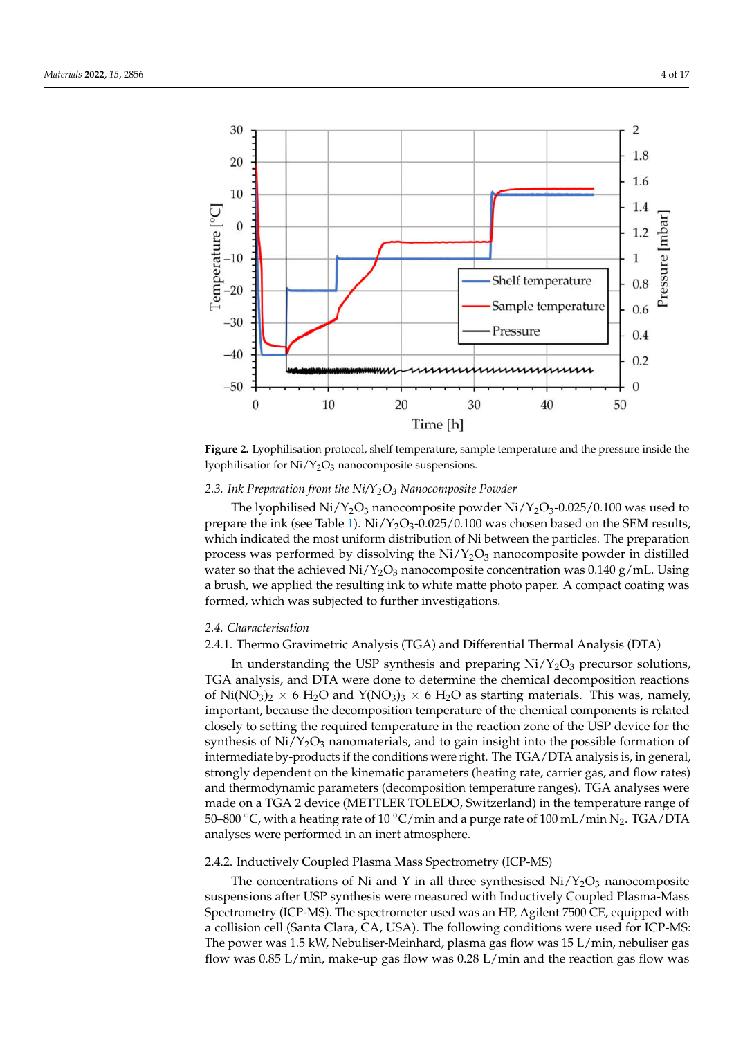<span id="page-3-0"></span>

**Figure 2.** Lyophilisation protocol, shelf temperature, sample temperature and the pressure inside the lyophilisatior for Ni/Y<sub>2</sub>O<sub>3</sub> nanocomposite suspensions.

#### *2.3. Ink Preparation from the Ni/Y2O<sup>3</sup> Nanocomposite Powder*

The lyophilised  $Ni/Y_2O_3$  nanocomposite powder  $Ni/Y_2O_3$ -0.025/0.100 was used to prepare the ink (see Table [1\)](#page-2-0).  $Ni/Y_2O_3$ -0.025/0.100 was chosen based on the SEM results, which indicated the most uniform distribution of Ni between the particles. The preparation process was performed by dissolving the  $Ni/Y_2O_3$  nanocomposite powder in distilled water so that the achieved  $Ni/Y_2O_3$  nanocomposite concentration was 0.140 g/mL. Using a brush, we applied the resulting ink to white matte photo paper. A compact coating was formed, which was subjected to further investigations.

#### *2.4. Characterisation*

# 2.4.1. Thermo Gravimetric Analysis (TGA) and Differential Thermal Analysis (DTA)

In understanding the USP synthesis and preparing  $Ni/Y_2O_3$  precursor solutions, TGA analysis, and DTA were done to determine the chemical decomposition reactions of Ni(NO<sub>3</sub>)<sub>2</sub>  $\times$  6 H<sub>2</sub>O and Y(NO<sub>3</sub>)<sub>3</sub>  $\times$  6 H<sub>2</sub>O as starting materials. This was, namely, important, because the decomposition temperature of the chemical components is related closely to setting the required temperature in the reaction zone of the USP device for the synthesis of  $Ni/Y_2O_3$  nanomaterials, and to gain insight into the possible formation of intermediate by-products if the conditions were right. The TGA/DTA analysis is, in general, strongly dependent on the kinematic parameters (heating rate, carrier gas, and flow rates) and thermodynamic parameters (decomposition temperature ranges). TGA analyses were made on a TGA 2 device (METTLER TOLEDO, Switzerland) in the temperature range of 50–800 °C, with a heating rate of 10 °C/min and a purge rate of 100 mL/min N<sub>2</sub>. TGA/DTA analyses were performed in an inert atmosphere.

#### 2.4.2. Inductively Coupled Plasma Mass Spectrometry (ICP-MS)

The concentrations of Ni and Y in all three synthesised  $Ni/Y_2O_3$  nanocomposite suspensions after USP synthesis were measured with Inductively Coupled Plasma-Mass Spectrometry (ICP-MS). The spectrometer used was an HP, Agilent 7500 CE, equipped with a collision cell (Santa Clara, CA, USA). The following conditions were used for ICP-MS: The power was 1.5 kW, Nebuliser-Meinhard, plasma gas flow was 15 L/min, nebuliser gas flow was 0.85 L/min, make-up gas flow was 0.28 L/min and the reaction gas flow was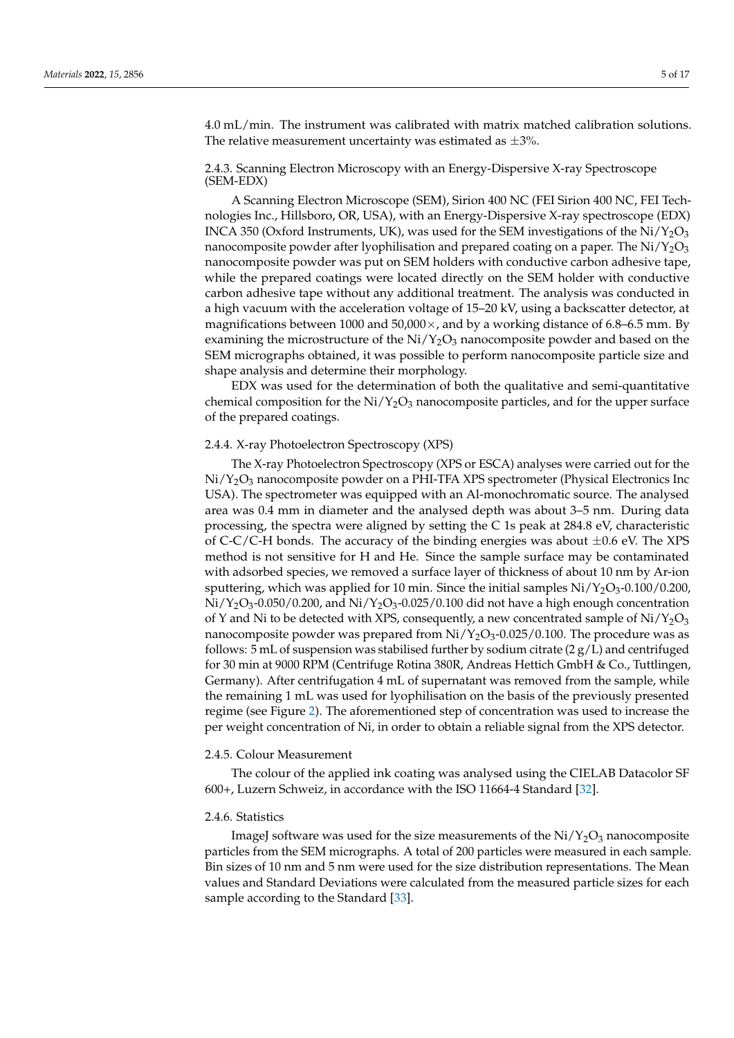4.0 mL/min. The instrument was calibrated with matrix matched calibration solutions. The relative measurement uncertainty was estimated as  $\pm 3\%$ .

# 2.4.3. Scanning Electron Microscopy with an Energy-Dispersive X-ray Spectroscope (SEM-EDX)

A Scanning Electron Microscope (SEM), Sirion 400 NC (FEI Sirion 400 NC, FEI Technologies Inc., Hillsboro, OR, USA), with an Energy-Dispersive X-ray spectroscope (EDX) INCA 350 (Oxford Instruments, UK), was used for the SEM investigations of the  $Ni/Y_2O_3$ nanocomposite powder after lyophilisation and prepared coating on a paper. The  $Ni/Y_2O_3$ nanocomposite powder was put on SEM holders with conductive carbon adhesive tape, while the prepared coatings were located directly on the SEM holder with conductive carbon adhesive tape without any additional treatment. The analysis was conducted in a high vacuum with the acceleration voltage of 15–20 kV, using a backscatter detector, at magnifications between 1000 and  $50,000 \times$ , and by a working distance of 6.8–6.5 mm. By examining the microstructure of the  $Ni/Y_2O_3$  nanocomposite powder and based on the SEM micrographs obtained, it was possible to perform nanocomposite particle size and shape analysis and determine their morphology.

EDX was used for the determination of both the qualitative and semi-quantitative chemical composition for the  $Ni/Y_2O_3$  nanocomposite particles, and for the upper surface of the prepared coatings.

#### 2.4.4. X-ray Photoelectron Spectroscopy (XPS)

The X-ray Photoelectron Spectroscopy (XPS or ESCA) analyses were carried out for the  $Ni/Y<sub>2</sub>O<sub>3</sub>$  nanocomposite powder on a PHI-TFA XPS spectrometer (Physical Electronics Inc USA). The spectrometer was equipped with an Al-monochromatic source. The analysed area was 0.4 mm in diameter and the analysed depth was about 3–5 nm. During data processing, the spectra were aligned by setting the C 1s peak at 284.8 eV, characteristic of C-C/C-H bonds. The accuracy of the binding energies was about  $\pm 0.6$  eV. The XPS method is not sensitive for H and He. Since the sample surface may be contaminated with adsorbed species, we removed a surface layer of thickness of about 10 nm by Ar-ion sputtering, which was applied for 10 min. Since the initial samples  $Ni/Y_2O_3-0.100/0.200$ ,  $Ni/Y_2O_3-0.050/0.200$ , and  $Ni/Y_2O_3-0.025/0.100$  did not have a high enough concentration of Y and Ni to be detected with XPS, consequently, a new concentrated sample of  $Ni/Y_2O_3$ nanocomposite powder was prepared from  $Ni/Y_2O_3-0.025/0.100$ . The procedure was as follows: 5 mL of suspension was stabilised further by sodium citrate  $(2 g/L)$  and centrifuged for 30 min at 9000 RPM (Centrifuge Rotina 380R, Andreas Hettich GmbH & Co., Tuttlingen, Germany). After centrifugation 4 mL of supernatant was removed from the sample, while the remaining 1 mL was used for lyophilisation on the basis of the previously presented regime (see Figure [2\)](#page-3-0). The aforementioned step of concentration was used to increase the per weight concentration of Ni, in order to obtain a reliable signal from the XPS detector.

# 2.4.5. Colour Measurement

The colour of the applied ink coating was analysed using the CIELAB Datacolor SF 600+, Luzern Schweiz, in accordance with the ISO 11664-4 Standard [\[32\]](#page-16-5).

#### 2.4.6. Statistics

ImageJ software was used for the size measurements of the  $Ni/Y<sub>2</sub>O<sub>3</sub>$  nanocomposite particles from the SEM micrographs. A total of 200 particles were measured in each sample. Bin sizes of 10 nm and 5 nm were used for the size distribution representations. The Mean values and Standard Deviations were calculated from the measured particle sizes for each sample according to the Standard [\[33\]](#page-16-6).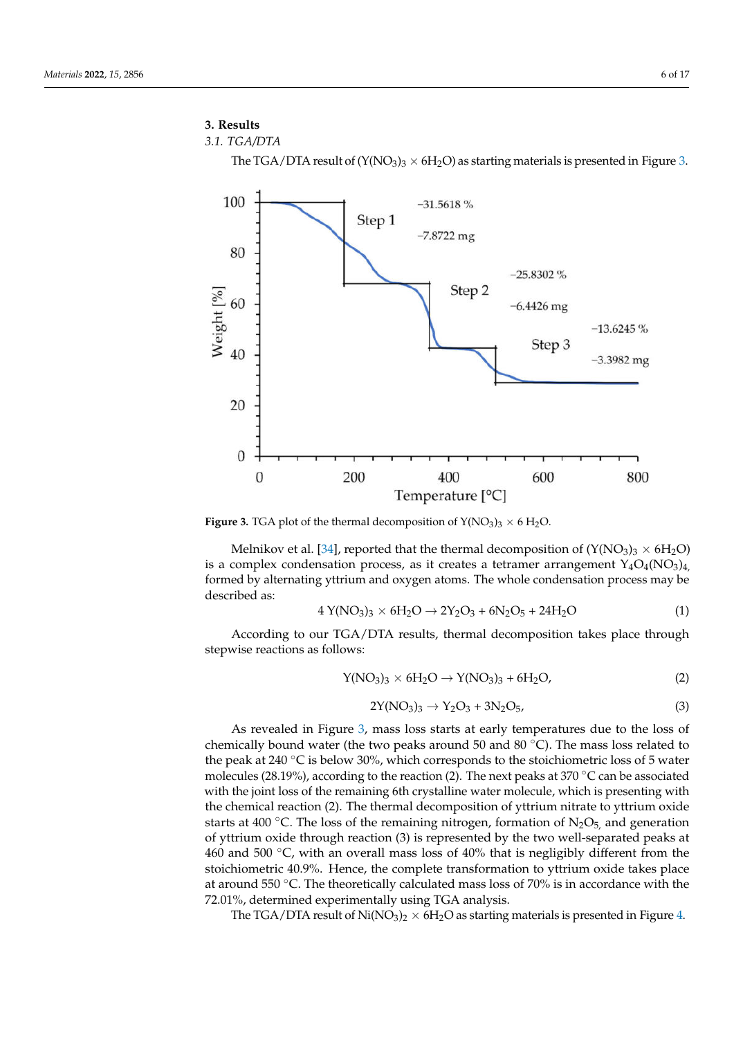# **3. Results**

```
3.1. TGA/DTA
```
The TGA/DTA result of  $(Y(NO<sub>3</sub>)<sub>3</sub> \times 6H<sub>2</sub>O)$  as starting materials is presented in Figure [3.](#page-5-0)

<span id="page-5-0"></span>

**Figure 3.** TGA plot of the thermal decomposition of  $Y(NO<sub>3</sub>)<sub>3</sub> \times 6 H<sub>2</sub>O$ .

Melnikov et al. [\[34\]](#page-16-7), reported that the thermal decomposition of  $(Y(NO<sub>3</sub>)<sub>3</sub> \times 6H<sub>2</sub>O)$ is a complex condensation process, as it creates a tetramer arrangement  $Y_4O_4(NO_3)_4$ , formed by alternating yttrium and oxygen atoms. The whole condensation process may be described as:

$$
4 Y(NO3)3 \times 6 H2O \to 2Y2O3 + 6 N2O5 + 24 H2O
$$
 (1)

According to our TGA/DTA results, thermal decomposition takes place through stepwise reactions as follows:

$$
Y(NO_3)_3 \times 6H_2O \to Y(NO_3)_3 + 6H_2O,
$$
 (2)

$$
2Y(NO_3)_3 \to Y_2O_3 + 3N_2O_5,\tag{3}
$$

As revealed in Figure [3,](#page-5-0) mass loss starts at early temperatures due to the loss of chemically bound water (the two peaks around 50 and 80 ◦C). The mass loss related to the peak at 240 ◦C is below 30%, which corresponds to the stoichiometric loss of 5 water molecules (28.19%), according to the reaction (2). The next peaks at 370 °C can be associated with the joint loss of the remaining 6th crystalline water molecule, which is presenting with the chemical reaction (2). The thermal decomposition of yttrium nitrate to yttrium oxide starts at 400 °C. The loss of the remaining nitrogen, formation of  $N_2O_5$ , and generation of yttrium oxide through reaction (3) is represented by the two well-separated peaks at 460 and 500  $\degree$ C, with an overall mass loss of 40% that is negligibly different from the stoichiometric 40.9%. Hence, the complete transformation to yttrium oxide takes place at around 550 ◦C. The theoretically calculated mass loss of 70% is in accordance with the 72.01%, determined experimentally using TGA analysis.

The TGA/DTA result of  $Ni(NO<sub>3</sub>)<sub>2</sub> \times 6H<sub>2</sub>O$  as starting materials is presented in Figure [4.](#page-6-0)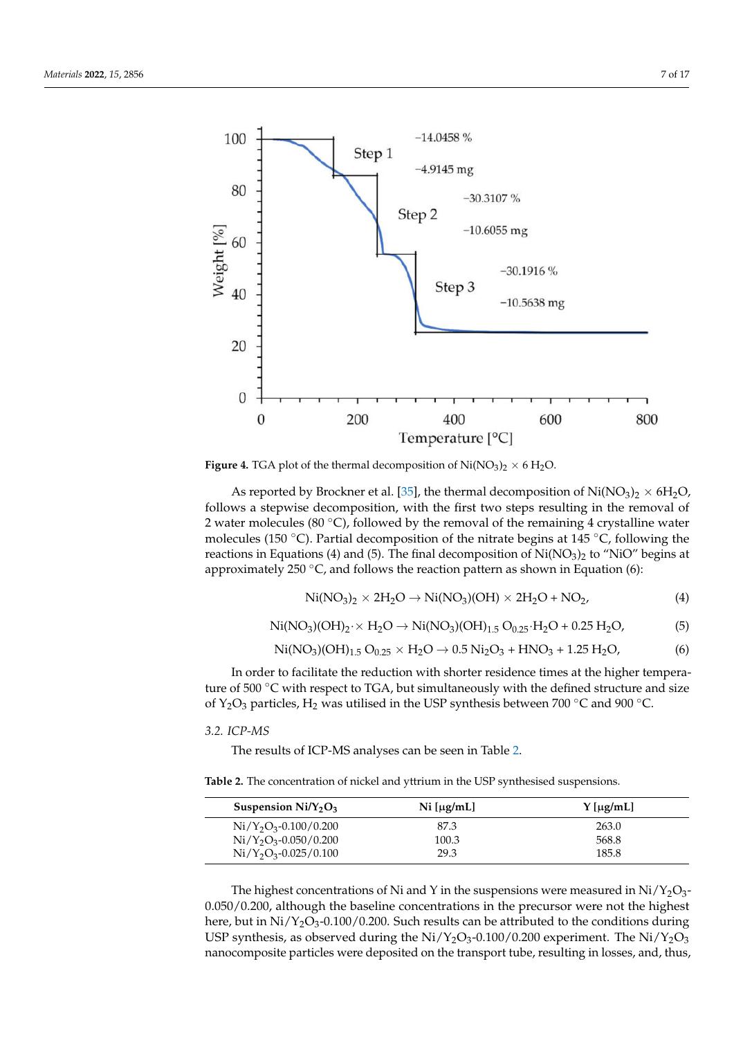<span id="page-6-0"></span>

**Figure 4.** TGA plot of the thermal decomposition of  $Ni(NO<sub>3</sub>)<sub>2</sub> \times 6 H<sub>2</sub>O$ .

As reported by Brockner et al. [\[35\]](#page-16-8), the thermal decomposition of  $\text{Ni}(\text{NO}_3)_2 \times 6\text{H}_2\text{O}$ , follows a stepwise decomposition, with the first two steps resulting in the removal of 2 water molecules (80 °C), followed by the removal of the remaining 4 crystalline water molecules (150 °C). Partial decomposition of the nitrate begins at 145 °C, following the reactions in Equations (4) and (5). The final decomposition of  $Ni(NO<sub>3</sub>)<sub>2</sub>$  to "NiO" begins at approximately 250  $°C$ , and follows the reaction pattern as shown in Equation (6):

$$
\text{Ni(NO3)2 × 2H2O → Ni(NO3)(OH) × 2H2O + NO2,
$$
\n(4)

$$
\text{Ni(NO3)(OH)2·×H2O → Ni(NO3)(OH)1.5 O0.25·H2O + 0.25 H2O, (5)
$$

$$
Ni(NO_3)(OH)_{1.5} O_{0.25} \times H_2O \rightarrow 0.5 Ni_2O_3 + HNO_3 + 1.25 H_2O, \tag{6}
$$

In order to facilitate the reduction with shorter residence times at the higher temperature of 500 ℃ with respect to TGA, but simultaneously with the defined structure and size of Y<sub>2</sub>O<sub>3</sub> particles, H<sub>2</sub> was utilised in the USP synthesis between 700 °C and 900 °C.

*3.2. ICP-MS*

The results of ICP-MS analyses can be seen in Table [2.](#page-6-1)

<span id="page-6-1"></span>**Table 2.** The concentration of nickel and yttrium in the USP synthesised suspensions.

| Suspension $Ni/Y2O3$    | $Ni \left[\mu g/mL\right]$ | $Y$ [µg/mL] |
|-------------------------|----------------------------|-------------|
| $Ni/Y_2O_3-0.100/0.200$ | 87.3                       | 263.0       |
| $Ni/Y_2O_3-0.050/0.200$ | 100.3                      | 568.8       |
| $Ni/Y_2O_3-0.025/0.100$ | 29.3                       | 185.8       |

The highest concentrations of Ni and Y in the suspensions were measured in  $Ni/Y_2O_3$ -0.050/0.200, although the baseline concentrations in the precursor were not the highest here, but in  $Ni/Y_2O_3$ -0.100/0.200. Such results can be attributed to the conditions during USP synthesis, as observed during the  $Ni/Y<sub>2</sub>O<sub>3</sub>-0.100/0.200$  experiment. The  $Ni/Y<sub>2</sub>O<sub>3</sub>$ nanocomposite particles were deposited on the transport tube, resulting in losses, and, thus,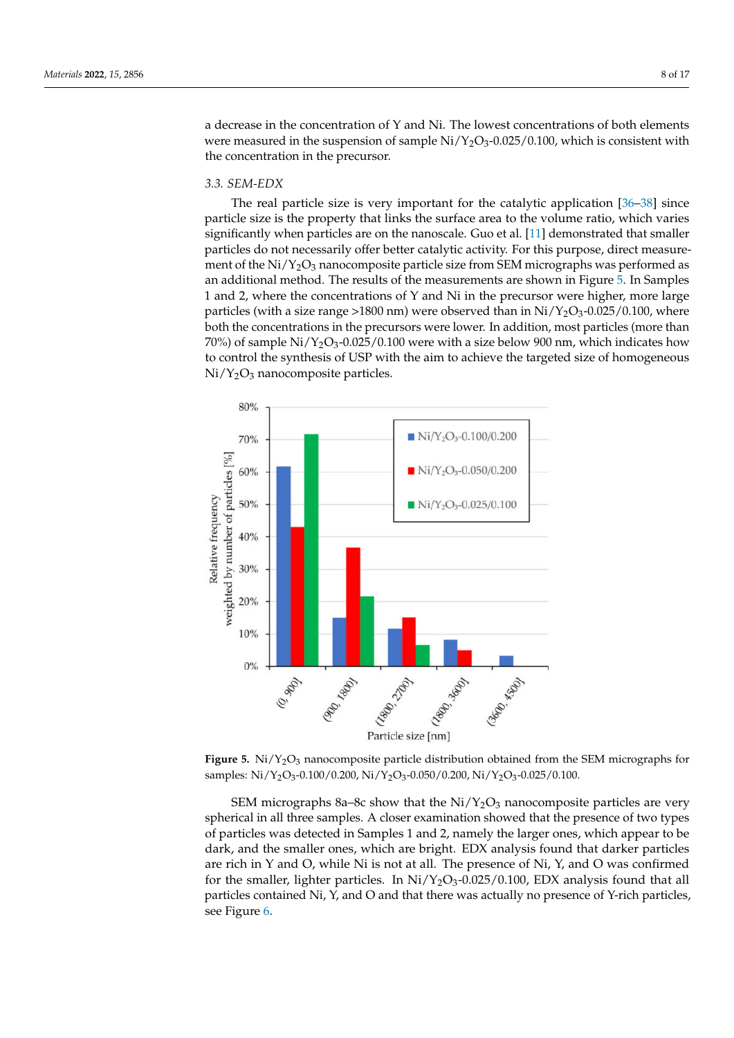a decrease in the concentration of Y and Ni. The lowest concentrations of both elements were measured in the suspension of sample  $Ni/Y_2O_3$ -0.025/0.100, which is consistent with the concentration in the precursor.

# *3.3. SEM-EDX*

The real particle size is very important for the catalytic application [\[36–](#page-16-9)[38\]](#page-16-10) since particle size is the property that links the surface area to the volume ratio, which varies significantly when particles are on the nanoscale. Guo et al. [\[11\]](#page-15-6) demonstrated that smaller particles do not necessarily offer better catalytic activity. For this purpose, direct measurement of the  $Ni/Y<sub>2</sub>O<sub>3</sub>$  nanocomposite particle size from SEM micrographs was performed as an additional method. The results of the measurements are shown in Figure [5.](#page-7-0) In Samples 1 and 2, where the concentrations of Y and Ni in the precursor were higher, more large particles (with a size range >1800 nm) were observed than in  $Ni/Y_2O_3-0.025/0.100$ , where both the concentrations in the precursors were lower. In addition, most particles (more than 70%) of sample  $Ni/Y_2O_3$ -0.025/0.100 were with a size below 900 nm, which indicates how to control the synthesis of USP with the aim to achieve the targeted size of homogeneous  $Ni/Y<sub>2</sub>O<sub>3</sub>$  nanocomposite particles.

<span id="page-7-0"></span>

Figure 5. Ni/Y<sub>2</sub>O<sub>3</sub> nanocomposite particle distribution obtained from the SEM micrographs for samples: Ni/Y<sub>2</sub>O<sub>3</sub>-0.100/0.200, Ni/Y<sub>2</sub>O<sub>3</sub>-0.050/0.200, Ni/Y<sub>2</sub>O<sub>3</sub>-0.025/0.100.

SEM micrographs 8a–8c show that the  $Ni/Y_2O_3$  nanocomposite particles are very spherical in all three samples. A closer examination showed that the presence of two types of particles was detected in Samples 1 and 2, namely the larger ones, which appear to be dark, and the smaller ones, which are bright. EDX analysis found that darker particles are rich in Y and O, while Ni is not at all. The presence of Ni, Y, and O was confirmed for the smaller, lighter particles. In  $Ni/Y_2O_3$ -0.025/0.100, EDX analysis found that all particles contained Ni, Y, and O and that there was actually no presence of Y-rich particles, see Figure [6.](#page-8-0)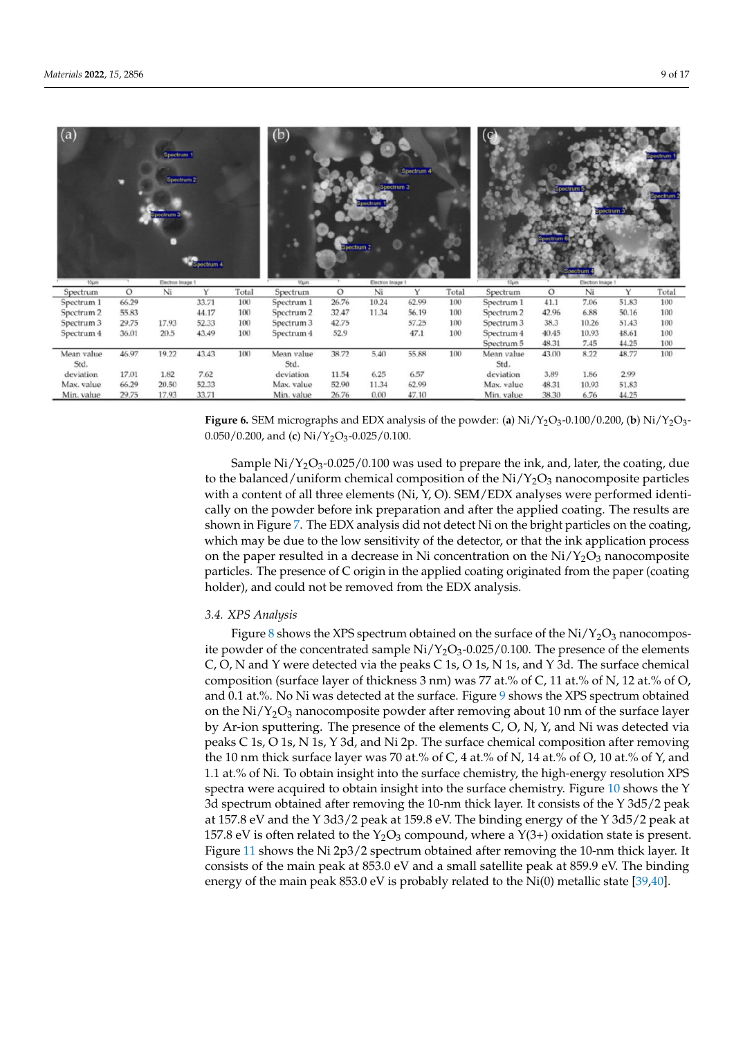<span id="page-8-0"></span>

| (a)        |         | Spectrum 1<br>Spectrum 2<br>Spectrum 3 | Spectrum 4 |       | (b)                   | ectrum 2 | Spectrum 3<br>sectrum. | Spectrum 4 |       |                       |         |                  | pectrum | ectrum |
|------------|---------|----------------------------------------|------------|-------|-----------------------|----------|------------------------|------------|-------|-----------------------|---------|------------------|---------|--------|
| 10um       |         | Electron Image 1                       |            |       | 10um                  |          | Electron Image 1       |            |       |                       |         | Electron Image 1 |         |        |
| Spectrum   | $\circ$ | Ni                                     | Y          | Total | Spectrum              | $\circ$  | Ni                     | Y          | Total | Spectrum              | $\circ$ | Ni               | Y       | Total  |
| Spectrum 1 | 66.29   |                                        | 33.71      | 100   | Spectrum 1            | 26.76    | 10.24                  | 62.99      | 100   | Spectrum 1            | 41.1    | 7.06             | 51.83   | 100    |
| Spectrum 2 | 55.83   |                                        | 44.17      | 100   | Spectrum <sub>2</sub> | 32.47    | 11.34                  | 56.19      | 100   | Spectrum <sub>2</sub> | 42.96   | 6.88             | 50.16   | 100    |
| Spectrum 3 | 29.75   | 17.93                                  | 52.33      | 100   | Spectrum 3            | 42.75    |                        | 57.25      | 100   | Spectrum 3            | 38.3    | 10.26            | 51.43   | 100    |
| Spectrum 4 | 36.01   | 20.5                                   | 43.49      | 100   | Spectrum 4            | 52.9     |                        | 47.1       | 100   | Spectrum 4            | 40.45   | 10.93            | 48.61   | 100    |
|            |         |                                        |            |       |                       |          |                        |            |       | Spectrum 5            | 48.31   | 7.45             | 44.25   | 100    |
| Mean value | 46.97   | 19.22                                  | 43.43      | 100   | Mean value            | 38.72    | 5.40                   | 55.88      | 100   | Mean value            | 43.00   | 8.22             | 48.77   | 100    |
| Std.       |         |                                        |            |       | Std.                  |          |                        |            |       | Std.                  |         |                  |         |        |
| deviation  | 17.01   | 1.82                                   | 7.62       |       | deviation             | 11.54    | 6.25                   | 6.57       |       | deviation             | 3.89    | 1.86             | 2.99    |        |
| Max. value | 66.29   | 20.50                                  | 52.33      |       | Max. value            | 52.90    | 11.34                  | 62.99      |       | Max. value            | 48.31   | 10.93            | 51.83   |        |
| Min. value | 29.75   | 17.93                                  | 33.71      |       | Min. value            | 26.76    | 0.00                   | 47.10      |       | Min. value            | 38.30   | 6.76             | 44.25   |        |

**Figure 6.** SEM micrographs and EDX analysis of the powder: (**a**)  $Ni/Y_2O_3$ -0.100/0.200, (**b**)  $Ni/Y_2O_3$ -0.050/0.200, and (**c**) Ni/Y2O<sup>3</sup> -0.025/0.100.

Sample  $Ni/Y_2O_3$ -0.025/0.100 was used to prepare the ink, and, later, the coating, due to the balanced/uniform chemical composition of the  $Ni/Y_2O_3$  nanocomposite particles with a content of all three elements (Ni, Y, O). SEM/EDX analyses were performed identically on the powder before ink preparation and after the applied coating. The results are shown in Figure [7.](#page-9-0) The EDX analysis did not detect Ni on the bright particles on the coating, which may be due to the low sensitivity of the detector, or that the ink application process on the paper resulted in a decrease in Ni concentration on the  $Ni/Y_2O_3$  nanocomposite particles. The presence of C origin in the applied coating originated from the paper (coating holder), and could not be removed from the EDX analysis.

#### *3.4. XPS Analysis*

Figure [8](#page-9-1) shows the XPS spectrum obtained on the surface of the  $Ni/Y_2O_3$  nanocomposite powder of the concentrated sample  $Ni/Y_2O_3-0.025/0.100$ . The presence of the elements C, O, N and Y were detected via the peaks C 1s, O 1s, N 1s, and Y 3d. The surface chemical composition (surface layer of thickness 3 nm) was 77 at.% of C, 11 at.% of N, 12 at.% of O, and 0.1 at.%. No Ni was detected at the surface. Figure [9](#page-10-0) shows the XPS spectrum obtained on the  $Ni/Y_2O_3$  nanocomposite powder after removing about 10 nm of the surface layer by Ar-ion sputtering. The presence of the elements C, O, N, Y, and Ni was detected via peaks C 1s, O 1s, N 1s, Y 3d, and Ni 2p. The surface chemical composition after removing the 10 nm thick surface layer was 70 at.% of C, 4 at.% of N, 14 at.% of O, 10 at.% of Y, and 1.1 at.% of Ni. To obtain insight into the surface chemistry, the high-energy resolution XPS spectra were acquired to obtain insight into the surface chemistry. Figure [10](#page-10-1) shows the Y 3d spectrum obtained after removing the 10-nm thick layer. It consists of the Y 3d5/2 peak at 157.8 eV and the Y 3d3/2 peak at 159.8 eV. The binding energy of the Y 3d5/2 peak at 157.8 eV is often related to the  $Y_2O_3$  compound, where a  $Y(3+)$  oxidation state is present. Figure [11](#page-11-0) shows the Ni 2p3/2 spectrum obtained after removing the 10-nm thick layer. It consists of the main peak at 853.0 eV and a small satellite peak at 859.9 eV. The binding energy of the main peak 853.0 eV is probably related to the Ni(0) metallic state [\[39](#page-16-11)[,40\]](#page-16-12).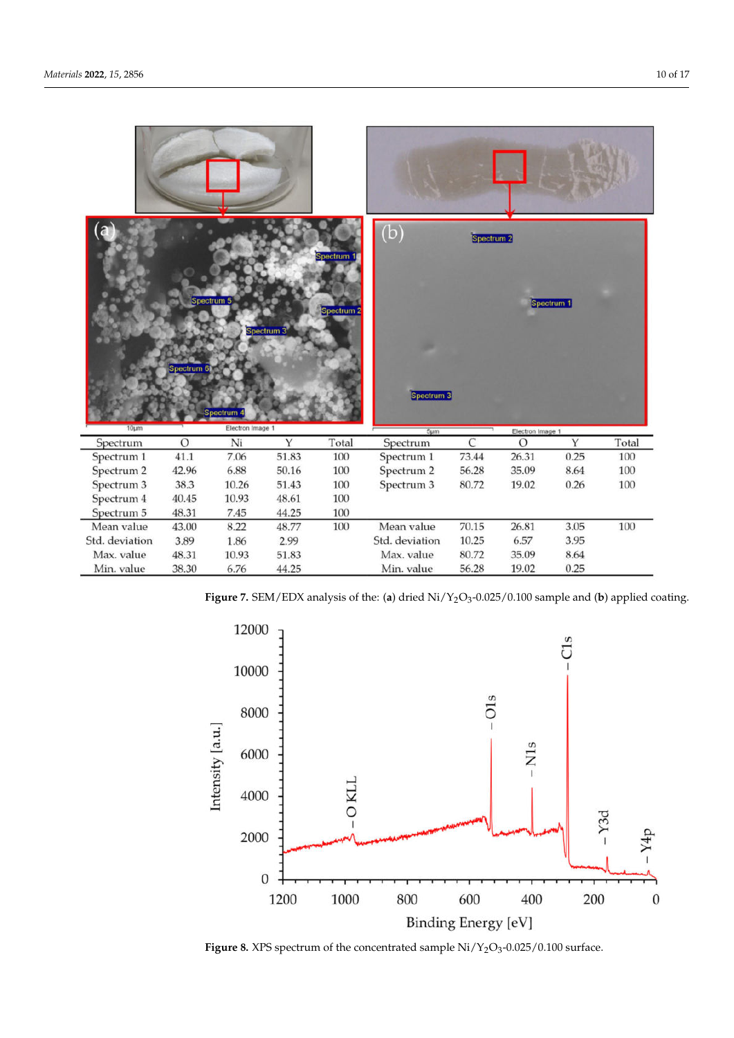<span id="page-9-0"></span>

**Figure 7.** SEM/EDX analysis of the: (**a**) dried Ni/Y2O<sup>3</sup> -0.025/0.100 sample and (**b**) applied coating.

<span id="page-9-1"></span>

**Figure 8.** XPS spectrum of the concentrated sample  $Ni/Y_2O_3$ -0.025/0.100 surface.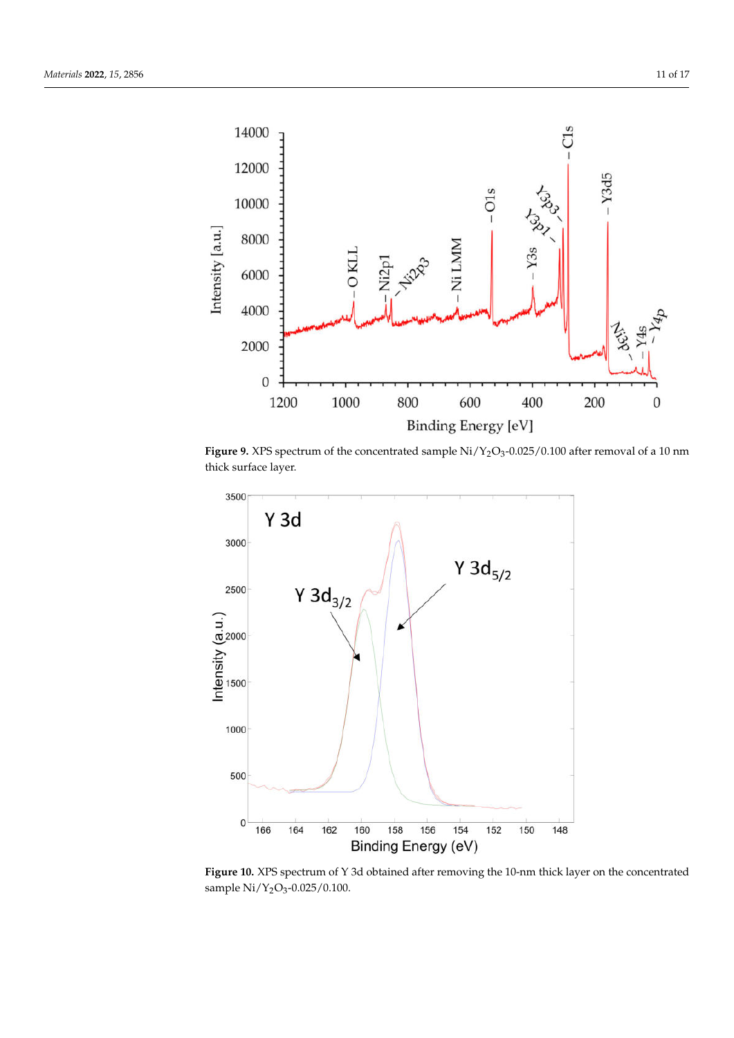<span id="page-10-0"></span>

**Figure 9.** XPS spectrum of the concentrated sample  $\rm Ni/Y_{2}O_{3}$ -0.025/0.100 after removal of a 10 nm thick surface layer.

<span id="page-10-1"></span>

**Figure 10.** XPS spectrum of Y 3d obtained after removing the 10-nm thick layer on the concentrated sample Ni/Y<sub>2</sub>O<sub>3</sub>-0.025/0.100.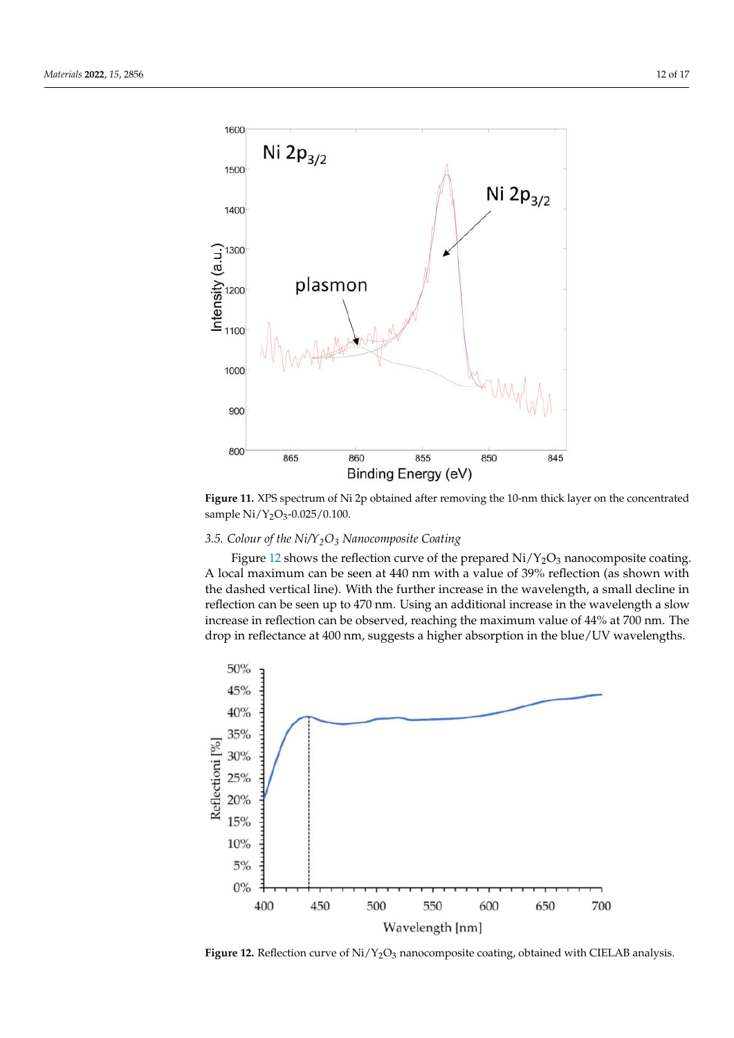<span id="page-11-0"></span>

**Figure 11.** XPS spectrum of Ni 2p obtained after removing the 10-nm thick layer on the concentrated sample Ni/Y<sub>2</sub>O<sub>3</sub>-0.025/0.100.

# *3.5. Colour of the Ni/Y2O<sup>3</sup> Nanocomposite Coating*

Figure [12](#page-11-1) shows the reflection curve of the prepared  $Ni/Y_2O_3$  nanocomposite coating. A local maximum can be seen at 440 nm with a value of 39% reflection (as shown with the dashed vertical line). With the further increase in the wavelength, a small decline in reflection can be seen up to 470 nm. Using an additional increase in the wavelength a slow increase in reflection can be observed, reaching the maximum value of 44% at 700 nm. The drop in reflectance at 400 nm, suggests a higher absorption in the blue/UV wavelengths.

<span id="page-11-1"></span>

Figure 12. Reflection curve of Ni/Y<sub>2</sub>O<sub>3</sub> nanocomposite coating, obtained with CIELAB analysis.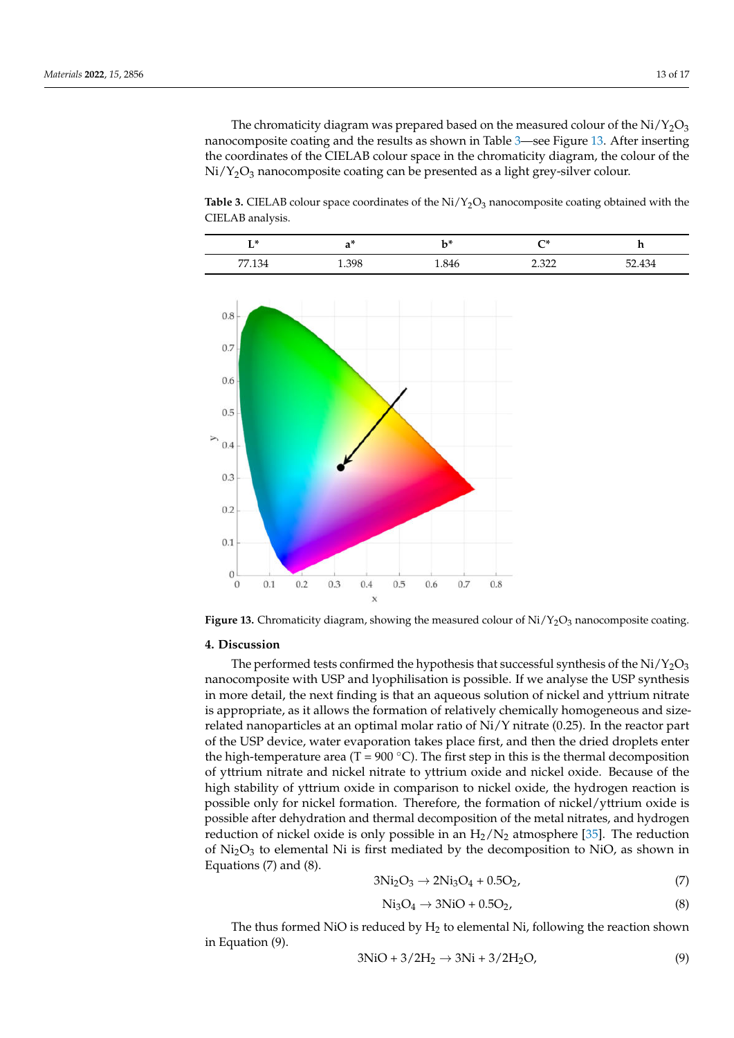The chromaticity diagram was prepared based on the measured colour of the  $Ni/Y_2O_3$ nanocomposite coating and the results as shown in Table [3—](#page-12-0)see Figure [13.](#page-12-1) After inserting the coordinates of the CIELAB colour space in the chromaticity diagram, the colour of the  $Ni/Y<sub>2</sub>O<sub>3</sub>$  nanocomposite coating can be presented as a light grey-silver colour.

<span id="page-12-0"></span>**Table 3.** CIELAB colour space coordinates of the  $Ni/Y_2O_3$  nanocomposite coating obtained with the CIELAB analysis.

| — உட<br>ப |       | レメ<br>v | ⊸∗                                | .<br>-- |
|-----------|-------|---------|-----------------------------------|---------|
| 77.134    | 1.398 | 1.846   | רכב ר<br>$\overline{\phantom{a}}$ | 52.434  |

<span id="page-12-1"></span>

**Figure 13.** Chromaticity diagram, showing the measured colour of  $Ni/Y_2O_3$  nanocomposite coating.

# **4. Discussion**

The performed tests confirmed the hypothesis that successful synthesis of the  $Ni/Y_2O_3$ nanocomposite with USP and lyophilisation is possible. If we analyse the USP synthesis in more detail, the next finding is that an aqueous solution of nickel and yttrium nitrate is appropriate, as it allows the formation of relatively chemically homogeneous and sizerelated nanoparticles at an optimal molar ratio of  $Ni/Y$  nitrate (0.25). In the reactor part of the USP device, water evaporation takes place first, and then the dried droplets enter the high-temperature area (T = 900 °C). The first step in this is the thermal decomposition of yttrium nitrate and nickel nitrate to yttrium oxide and nickel oxide. Because of the high stability of yttrium oxide in comparison to nickel oxide, the hydrogen reaction is possible only for nickel formation. Therefore, the formation of nickel/yttrium oxide is possible after dehydration and thermal decomposition of the metal nitrates, and hydrogen reduction of nickel oxide is only possible in an  $H_2/N_2$  atmosphere [\[35\]](#page-16-8). The reduction of  $Ni<sub>2</sub>O<sub>3</sub>$  to elemental Ni is first mediated by the decomposition to NiO, as shown in Equations (7) and (8).

$$
3Ni2O3 \to 2Ni3O4 + 0.5O2,
$$
 (7)

$$
\text{Ni}_3\text{O}_4 \rightarrow 3\text{NiO} + 0.5\text{O}_2,\tag{8}
$$

The thus formed NiO is reduced by  $H_2$  to elemental Ni, following the reaction shown in Equation (9).

$$
3NiO + 3/2H2 \rightarrow 3Ni + 3/2H2O,
$$
\n(9)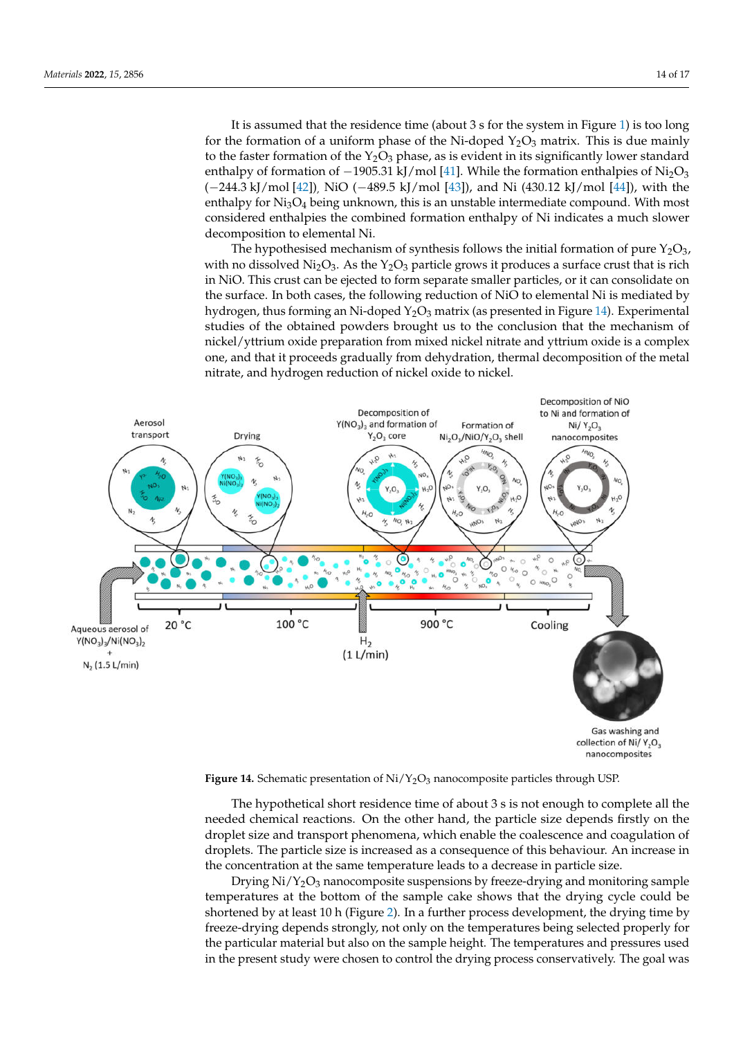It is assumed that the residence time (about 3 s for the system in Figure [1\)](#page-2-1) is too long for the formation of a uniform phase of the Ni-doped  $Y_2O_3$  matrix. This is due mainly to the faster formation of the  $Y_2O_3$  phase, as is evident in its significantly lower standard enthalpy of formation of  $-1905.31 \text{ kJ/mol}$  [\[41\]](#page-16-13). While the formation enthalpies of Ni<sub>2</sub>O<sub>3</sub> (−244.3 kJ/mol [\[42\]](#page-16-14)), NiO (−489.5 kJ/mol [\[43\]](#page-16-15)), and Ni (430.12 kJ/mol [\[44\]](#page-16-16)), with the enthalpy for  $Ni<sub>3</sub>O<sub>4</sub>$  being unknown, this is an unstable intermediate compound. With most considered enthalpies the combined formation enthalpy of Ni indicates a much slower decomposition to elemental Ni.

<span id="page-13-0"></span>The hypothesised mechanism of synthesis follows the initial formation of pure  $Y_2O_3$ , with no dissolved  $Ni<sub>2</sub>O<sub>3</sub>$ . As the Y<sub>2</sub>O<sub>3</sub> particle grows it produces a surface crust that is rich in NiO. This crust can be ejected to form separate smaller particles, or it can consolidate on the surface. In both cases, the following reduction of NiO to elemental Ni is mediated by hydrogen, thus forming an Ni-doped  $Y_2O_3$  matrix (as presented in Figure [14\)](#page-13-0). Experimental studies of the obtained powders brought us to the conclusion that the mechanism of nickel/yttrium oxide preparation from mixed nickel nitrate and yttrium oxide is a complex one, and that it proceeds gradually from dehydration, thermal decomposition of the metal nitrate, and hydrogen reduction of nickel oxide to nickel.



Figure 14. Schematic presentation of Ni/Y<sub>2</sub>O<sub>3</sub> nanocomposite particles through USP.

The hypothetical short residence time of about 3 s is not enough to complete all the needed chemical reactions. On the other hand, the particle size depends firstly on the droplet size and transport phenomena, which enable the coalescence and coagulation of droplets. The particle size is increased as a consequence of this behaviour. An increase in the concentration at the same temperature leads to a decrease in particle size.

Drying  $Ni/Y<sub>2</sub>O<sub>3</sub>$  nanocomposite suspensions by freeze-drying and monitoring sample temperatures at the bottom of the sample cake shows that the drying cycle could be shortened by at least 10 h (Figure [2\)](#page-3-0). In a further process development, the drying time by freeze-drying depends strongly, not only on the temperatures being selected properly for the particular material but also on the sample height. The temperatures and pressures used in the present study were chosen to control the drying process conservatively. The goal was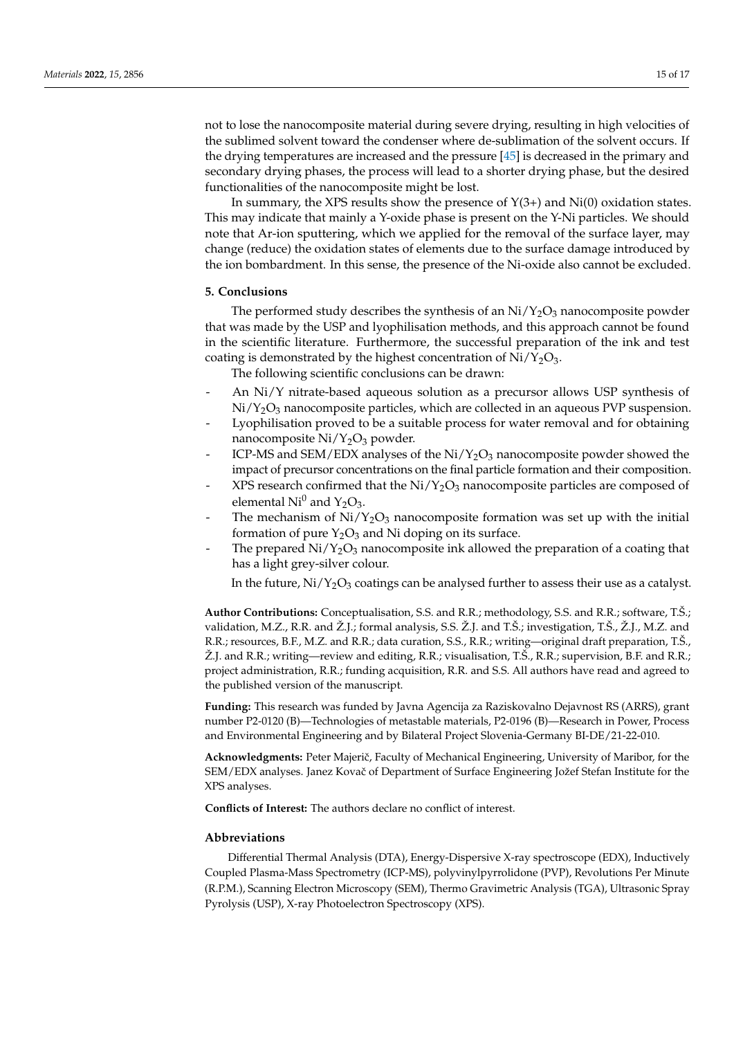not to lose the nanocomposite material during severe drying, resulting in high velocities of the sublimed solvent toward the condenser where de-sublimation of the solvent occurs. If the drying temperatures are increased and the pressure [\[45\]](#page-16-17) is decreased in the primary and secondary drying phases, the process will lead to a shorter drying phase, but the desired functionalities of the nanocomposite might be lost.

In summary, the XPS results show the presence of  $Y(3+)$  and  $Ni(0)$  oxidation states. This may indicate that mainly a Y-oxide phase is present on the Y-Ni particles. We should note that Ar-ion sputtering, which we applied for the removal of the surface layer, may change (reduce) the oxidation states of elements due to the surface damage introduced by the ion bombardment. In this sense, the presence of the Ni-oxide also cannot be excluded.

# **5. Conclusions**

The performed study describes the synthesis of an  $Ni/Y_2O_3$  nanocomposite powder that was made by the USP and lyophilisation methods, and this approach cannot be found in the scientific literature. Furthermore, the successful preparation of the ink and test coating is demonstrated by the highest concentration of  $Ni/Y_2O_3$ .

The following scientific conclusions can be drawn:

- An Ni/Y nitrate-based aqueous solution as a precursor allows USP synthesis of  $Ni/Y<sub>2</sub>O<sub>3</sub>$  nanocomposite particles, which are collected in an aqueous PVP suspension.
- Lyophilisation proved to be a suitable process for water removal and for obtaining nanocomposite  $Ni/Y_2O_3$  powder.
- ICP-MS and SEM/EDX analyses of the  $Ni/Y_2O_3$  nanocomposite powder showed the impact of precursor concentrations on the final particle formation and their composition.
- XPS research confirmed that the  $Ni/Y_2O_3$  nanocomposite particles are composed of elemental  $Ni<sup>0</sup>$  and  $Y<sub>2</sub>O<sub>3</sub>$ .
- The mechanism of  $Ni/Y_2O_3$  nanocomposite formation was set up with the initial formation of pure  $Y_2O_3$  and Ni doping on its surface.
- The prepared  $\rm Ni/Y_2O_3$  nanocomposite ink allowed the preparation of a coating that has a light grey-silver colour.

In the future,  $Ni/Y_2O_3$  coatings can be analysed further to assess their use as a catalyst.

**Author Contributions:** Conceptualisation, S.S. and R.R.; methodology, S.S. and R.R.; software, T.Š.; validation, M.Z., R.R. and Ž.J.; formal analysis, S.S. Ž.J. and T.Š.; investigation, T.Š., Ž.J., M.Z. and R.R.; resources, B.F., M.Z. and R.R.; data curation, S.S., R.R.; writing—original draft preparation, T.Š., Ž.J. and R.R.; writing—review and editing, R.R.; visualisation, T.Š., R.R.; supervision, B.F. and R.R.; project administration, R.R.; funding acquisition, R.R. and S.S. All authors have read and agreed to the published version of the manuscript.

**Funding:** This research was funded by Javna Agencija za Raziskovalno Dejavnost RS (ARRS), grant number P2-0120 (B)—Technologies of metastable materials, P2-0196 (B)—Research in Power, Process and Environmental Engineering and by Bilateral Project Slovenia-Germany BI-DE/21-22-010.

**Acknowledgments:** Peter Majeriˇc, Faculty of Mechanical Engineering, University of Maribor, for the SEM/EDX analyses. Janez Kovač of Department of Surface Engineering Jožef Stefan Institute for the XPS analyses.

**Conflicts of Interest:** The authors declare no conflict of interest.

#### **Abbreviations**

Differential Thermal Analysis (DTA), Energy-Dispersive X-ray spectroscope (EDX), Inductively Coupled Plasma-Mass Spectrometry (ICP-MS), polyvinylpyrrolidone (PVP), Revolutions Per Minute (R.P.M.), Scanning Electron Microscopy (SEM), Thermo Gravimetric Analysis (TGA), Ultrasonic Spray Pyrolysis (USP), X-ray Photoelectron Spectroscopy (XPS).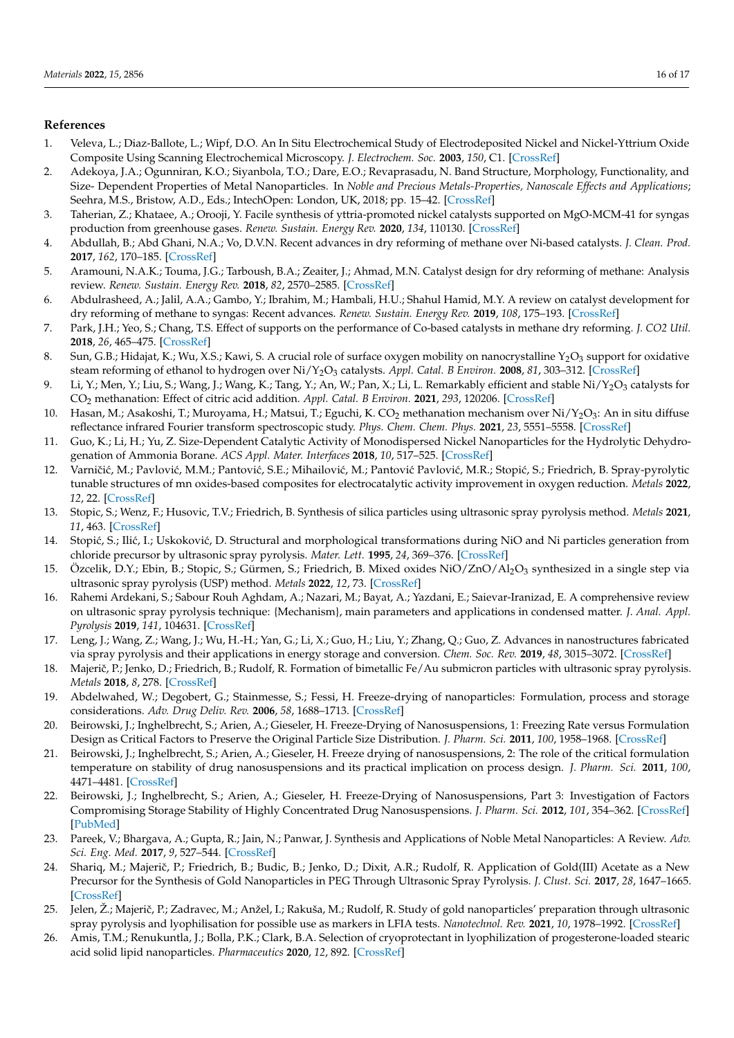# **References**

- <span id="page-15-0"></span>1. Veleva, L.; Diaz-Ballote, L.; Wipf, D.O. An In Situ Electrochemical Study of Electrodeposited Nickel and Nickel-Yttrium Oxide Composite Using Scanning Electrochemical Microscopy. *J. Electrochem. Soc.* **2003**, *150*, C1. [\[CrossRef\]](http://doi.org/10.1149/1.1522722)
- 2. Adekoya, J.A.; Ogunniran, K.O.; Siyanbola, T.O.; Dare, E.O.; Revaprasadu, N. Band Structure, Morphology, Functionality, and Size- Dependent Properties of Metal Nanoparticles. In *Noble and Precious Metals-Properties, Nanoscale Effects and Applications*; Seehra, M.S., Bristow, A.D., Eds.; IntechOpen: London, UK, 2018; pp. 15–42. [\[CrossRef\]](http://doi.org/10.5772/intechopen.72761)
- <span id="page-15-2"></span>3. Taherian, Z.; Khataee, A.; Orooji, Y. Facile synthesis of yttria-promoted nickel catalysts supported on MgO-MCM-41 for syngas production from greenhouse gases. *Renew. Sustain. Energy Rev.* **2020**, *134*, 110130. [\[CrossRef\]](http://doi.org/10.1016/j.rser.2020.110130)
- 4. Abdullah, B.; Abd Ghani, N.A.; Vo, D.V.N. Recent advances in dry reforming of methane over Ni-based catalysts. *J. Clean. Prod.* **2017**, *162*, 170–185. [\[CrossRef\]](http://doi.org/10.1016/j.jclepro.2017.05.176)
- 5. Aramouni, N.A.K.; Touma, J.G.; Tarboush, B.A.; Zeaiter, J.; Ahmad, M.N. Catalyst design for dry reforming of methane: Analysis review. *Renew. Sustain. Energy Rev.* **2018**, *82*, 2570–2585. [\[CrossRef\]](http://doi.org/10.1016/j.rser.2017.09.076)
- 6. Abdulrasheed, A.; Jalil, A.A.; Gambo, Y.; Ibrahim, M.; Hambali, H.U.; Shahul Hamid, M.Y. A review on catalyst development for dry reforming of methane to syngas: Recent advances. *Renew. Sustain. Energy Rev.* **2019**, *108*, 175–193. [\[CrossRef\]](http://doi.org/10.1016/j.rser.2019.03.054)
- <span id="page-15-1"></span>7. Park, J.H.; Yeo, S.; Chang, T.S. Effect of supports on the performance of Co-based catalysts in methane dry reforming. *J. CO2 Util.* **2018**, *26*, 465–475. [\[CrossRef\]](http://doi.org/10.1016/j.jcou.2018.06.002)
- <span id="page-15-3"></span>8. Sun, G.B.; Hidajat, K.; Wu, X.S.; Kawi, S. A crucial role of surface oxygen mobility on nanocrystalline  $Y_2O_3$  support for oxidative steam reforming of ethanol to hydrogen over Ni/Y2O<sup>3</sup> catalysts. *Appl. Catal. B Environ.* **2008**, *81*, 303–312. [\[CrossRef\]](http://doi.org/10.1016/j.apcatb.2007.12.021)
- <span id="page-15-4"></span>9. Li, Y.; Men, Y.; Liu, S.; Wang, J.; Wang, K.; Tang, Y.; An, W.; Pan, X.; Li, L. Remarkably efficient and stable Ni $\frac{1}{2}O_3$  catalysts for CO<sup>2</sup> methanation: Effect of citric acid addition. *Appl. Catal. B Environ.* **2021**, *293*, 120206. [\[CrossRef\]](http://doi.org/10.1016/j.apcatb.2021.120206)
- <span id="page-15-5"></span>10. Hasan, M.; Asakoshi, T.; Muroyama, H.; Matsui, T.; Eguchi, K. CO $_2$  methanation mechanism over Ni/Y $_2$ O $_3$ : An in situ diffuse reflectance infrared Fourier transform spectroscopic study. *Phys. Chem. Chem. Phys.* **2021**, *23*, 5551–5558. [\[CrossRef\]](http://doi.org/10.1039/D0CP06257J)
- <span id="page-15-6"></span>11. Guo, K.; Li, H.; Yu, Z. Size-Dependent Catalytic Activity of Monodispersed Nickel Nanoparticles for the Hydrolytic Dehydrogenation of Ammonia Borane. *ACS Appl. Mater. Interfaces* **2018**, *10*, 517–525. [\[CrossRef\]](http://doi.org/10.1021/acsami.7b14166)
- <span id="page-15-7"></span>12. Varničić, M.; Pavlović, M.M.; Pantović, S.E.; Mihailović, M.; Pantović Pavlović, M.R.; Stopić, S.; Friedrich, B. Spray-pyrolytic tunable structures of mn oxides-based composites for electrocatalytic activity improvement in oxygen reduction. *Metals* **2022**, *12*, 22. [\[CrossRef\]](http://doi.org/10.3390/met12010022)
- 13. Stopic, S.; Wenz, F.; Husovic, T.V.; Friedrich, B. Synthesis of silica particles using ultrasonic spray pyrolysis method. *Metals* **2021**, *11*, 463. [\[CrossRef\]](http://doi.org/10.3390/met11030463)
- 14. Stopić, S.; Ilić, I.; Uskoković, D. Structural and morphological transformations during NiO and Ni particles generation from chloride precursor by ultrasonic spray pyrolysis. *Mater. Lett.* **1995**, *24*, 369–376. [\[CrossRef\]](http://doi.org/10.1016/0167-577X(95)00121-2)
- <span id="page-15-8"></span>15. Ozcelik, D.Y.; Ebin, B.; Stopic, S.; Gürmen, S.; Friedrich, B. Mixed oxides NiO/ZnO/Al<sub>2</sub>O<sub>3</sub> synthesized in a single step via ultrasonic spray pyrolysis (USP) method. *Metals* **2022**, *12*, 73. [\[CrossRef\]](http://doi.org/10.3390/met12010073)
- <span id="page-15-9"></span>16. Rahemi Ardekani, S.; Sabour Rouh Aghdam, A.; Nazari, M.; Bayat, A.; Yazdani, E.; Saievar-Iranizad, E. A comprehensive review on ultrasonic spray pyrolysis technique: {Mechanism}, main parameters and applications in condensed matter. *J. Anal. Appl. Pyrolysis* **2019**, *141*, 104631. [\[CrossRef\]](http://doi.org/10.1016/j.jaap.2019.104631)
- 17. Leng, J.; Wang, Z.; Wang, J.; Wu, H.-H.; Yan, G.; Li, X.; Guo, H.; Liu, Y.; Zhang, Q.; Guo, Z. Advances in nanostructures fabricated via spray pyrolysis and their applications in energy storage and conversion. *Chem. Soc. Rev.* **2019**, *48*, 3015–3072. [\[CrossRef\]](http://doi.org/10.1039/C8CS00904J)
- <span id="page-15-10"></span>18. Majerič, P.; Jenko, D.; Friedrich, B.; Rudolf, R. Formation of bimetallic Fe/Au submicron particles with ultrasonic spray pyrolysis. *Metals* **2018**, *8*, 278. [\[CrossRef\]](http://doi.org/10.3390/met8040278)
- <span id="page-15-11"></span>19. Abdelwahed, W.; Degobert, G.; Stainmesse, S.; Fessi, H. Freeze-drying of nanoparticles: Formulation, process and storage considerations. *Adv. Drug Deliv. Rev.* **2006**, *58*, 1688–1713. [\[CrossRef\]](http://doi.org/10.1016/j.addr.2006.09.017)
- 20. Beirowski, J.; Inghelbrecht, S.; Arien, A.; Gieseler, H. Freeze-Drying of Nanosuspensions, 1: Freezing Rate versus Formulation Design as Critical Factors to Preserve the Original Particle Size Distribution. *J. Pharm. Sci.* **2011**, *100*, 1958–1968. [\[CrossRef\]](http://doi.org/10.1002/jps.22425)
- 21. Beirowski, J.; Inghelbrecht, S.; Arien, A.; Gieseler, H. Freeze drying of nanosuspensions, 2: The role of the critical formulation temperature on stability of drug nanosuspensions and its practical implication on process design. *J. Pharm. Sci.* **2011**, *100*, 4471–4481. [\[CrossRef\]](http://doi.org/10.1002/jps.22634)
- <span id="page-15-12"></span>22. Beirowski, J.; Inghelbrecht, S.; Arien, A.; Gieseler, H. Freeze-Drying of Nanosuspensions, Part 3: Investigation of Factors Compromising Storage Stability of Highly Concentrated Drug Nanosuspensions. *J. Pharm. Sci.* **2012**, *101*, 354–362. [\[CrossRef\]](http://doi.org/10.1002/jps.22745) [\[PubMed\]](http://www.ncbi.nlm.nih.gov/pubmed/21905035)
- <span id="page-15-13"></span>23. Pareek, V.; Bhargava, A.; Gupta, R.; Jain, N.; Panwar, J. Synthesis and Applications of Noble Metal Nanoparticles: A Review. *Adv. Sci. Eng. Med.* **2017**, *9*, 527–544. [\[CrossRef\]](http://doi.org/10.1166/asem.2017.2027)
- <span id="page-15-14"></span>24. Shariq, M.; Majerič, P.; Friedrich, B.; Budic, B.; Jenko, D.; Dixit, A.R.; Rudolf, R. Application of Gold(III) Acetate as a New Precursor for the Synthesis of Gold Nanoparticles in PEG Through Ultrasonic Spray Pyrolysis. *J. Clust. Sci.* **2017**, *28*, 1647–1665. [\[CrossRef\]](http://doi.org/10.1007/s10876-017-1178-0)
- <span id="page-15-15"></span>25. Jelen, Ž.; Majerič, P.; Zadravec, M.; Anžel, I.; Rakuša, M.; Rudolf, R. Study of gold nanoparticles' preparation through ultrasonic spray pyrolysis and lyophilisation for possible use as markers in LFIA tests. *Nanotechnol. Rev.* **2021**, *10*, 1978–1992. [\[CrossRef\]](http://doi.org/10.1515/ntrev-2021-0120)
- 26. Amis, T.M.; Renukuntla, J.; Bolla, P.K.; Clark, B.A. Selection of cryoprotectant in lyophilization of progesterone-loaded stearic acid solid lipid nanoparticles. *Pharmaceutics* **2020**, *12*, 892. [\[CrossRef\]](http://doi.org/10.3390/pharmaceutics12090892)